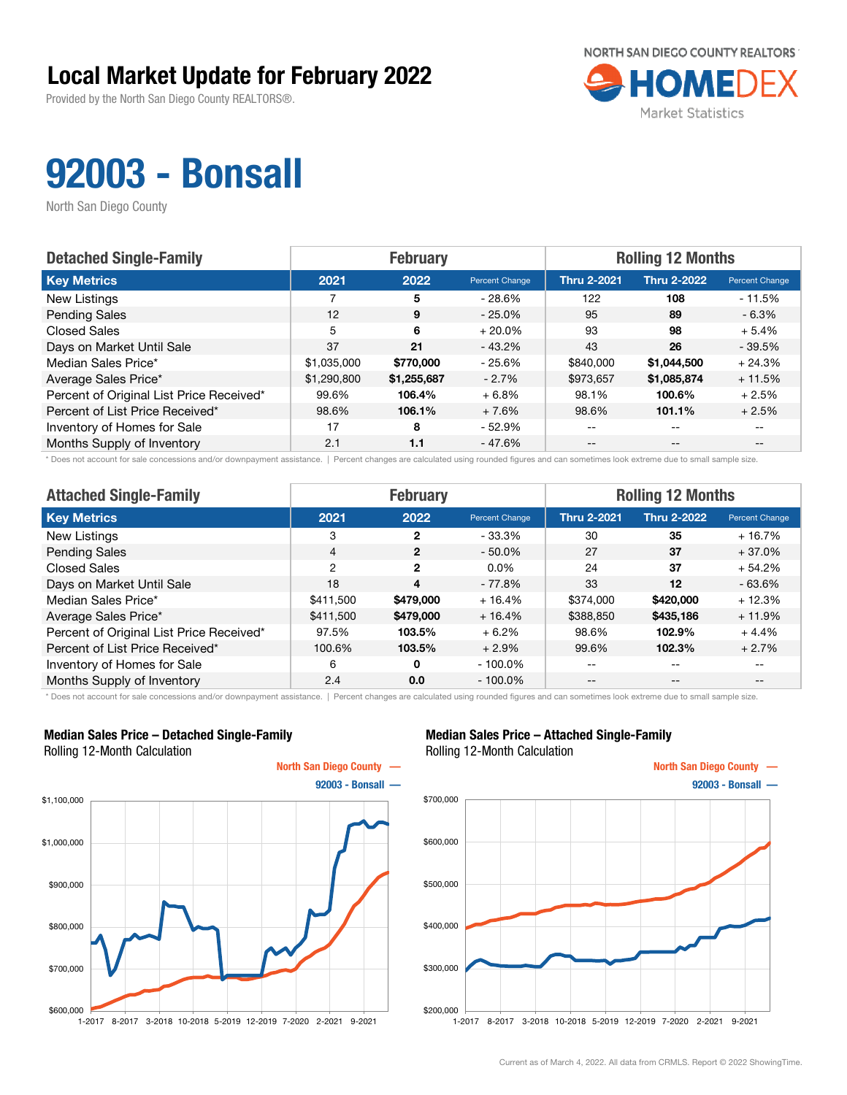Provided by the North San Diego County REALTORS®.



## 92003 - Bonsall

North San Diego County

| <b>Detached Single-Family</b>            |             | <b>February</b> |                | <b>Rolling 12 Months</b> |                    |                       |  |
|------------------------------------------|-------------|-----------------|----------------|--------------------------|--------------------|-----------------------|--|
| <b>Key Metrics</b>                       | 2021        | 2022            | Percent Change | <b>Thru 2-2021</b>       | <b>Thru 2-2022</b> | <b>Percent Change</b> |  |
| New Listings                             |             | 5               | - 28.6%        | 122                      | 108                | $-11.5%$              |  |
| <b>Pending Sales</b>                     | 12          | 9               | $-25.0\%$      | 95                       | 89                 | $-6.3\%$              |  |
| <b>Closed Sales</b>                      | 5           | 6               | $+20.0\%$      | 93                       | 98                 | $+5.4%$               |  |
| Days on Market Until Sale                | 37          | 21              | $-43.2%$       | 43                       | 26                 | $-39.5%$              |  |
| Median Sales Price*                      | \$1,035,000 | \$770,000       | - 25.6%        | \$840,000                | \$1,044,500        | $+24.3%$              |  |
| Average Sales Price*                     | \$1,290,800 | \$1,255,687     | $-2.7%$        | \$973,657                | \$1,085,874        | $+11.5%$              |  |
| Percent of Original List Price Received* | 99.6%       | 106.4%          | $+6.8%$        | 98.1%                    | 100.6%             | $+2.5%$               |  |
| Percent of List Price Received*          | 98.6%       | 106.1%          | $+7.6%$        | 98.6%                    | 101.1%             | $+2.5%$               |  |
| Inventory of Homes for Sale              | 17          | 8               | $-52.9%$       | --                       | $-$                |                       |  |
| Months Supply of Inventory               | 2.1         | 1.1             | $-47.6%$       | $- -$                    | $- -$              |                       |  |

\* Does not account for sale concessions and/or downpayment assistance. | Percent changes are calculated using rounded figures and can sometimes look extreme due to small sample size.

| <b>Attached Single-Family</b>            |                | <b>February</b> |                | <b>Rolling 12 Months</b> |                    |                |  |
|------------------------------------------|----------------|-----------------|----------------|--------------------------|--------------------|----------------|--|
| <b>Key Metrics</b>                       | 2021           | 2022            | Percent Change | <b>Thru 2-2021</b>       | <b>Thru 2-2022</b> | Percent Change |  |
| New Listings                             | 3              | 2               | $-33.3\%$      | 30                       | 35                 | + 16.7%        |  |
| <b>Pending Sales</b>                     | $\overline{4}$ | $\overline{2}$  | $-50.0\%$      | 27                       | 37                 | $+37.0%$       |  |
| <b>Closed Sales</b>                      | 2              | $\overline{2}$  | $0.0\%$        | 24                       | 37                 | $+54.2%$       |  |
| Days on Market Until Sale                | 18             | 4               | $-77.8%$       | 33                       | 12                 | $-63.6%$       |  |
| Median Sales Price*                      | \$411.500      | \$479,000       | $+16.4%$       | \$374,000                | \$420,000          | $+12.3%$       |  |
| Average Sales Price*                     | \$411,500      | \$479,000       | $+16.4%$       | \$388,850                | \$435,186          | $+11.9%$       |  |
| Percent of Original List Price Received* | 97.5%          | 103.5%          | $+6.2%$        | 98.6%                    | 102.9%             | $+4.4%$        |  |
| Percent of List Price Received*          | 100.6%         | 103.5%          | $+2.9%$        | 99.6%                    | 102.3%             | $+2.7%$        |  |
| Inventory of Homes for Sale              | 6              | 0               | $-100.0\%$     | --                       | $- -$              | $- -$          |  |
| Months Supply of Inventory               | 2.4            | 0.0             | $-100.0\%$     | $ -$                     | --                 | $- -$          |  |

\* Does not account for sale concessions and/or downpayment assistance. | Percent changes are calculated using rounded figures and can sometimes look extreme due to small sample size.

#### Median Sales Price – Detached Single-Family Rolling 12-Month Calculation



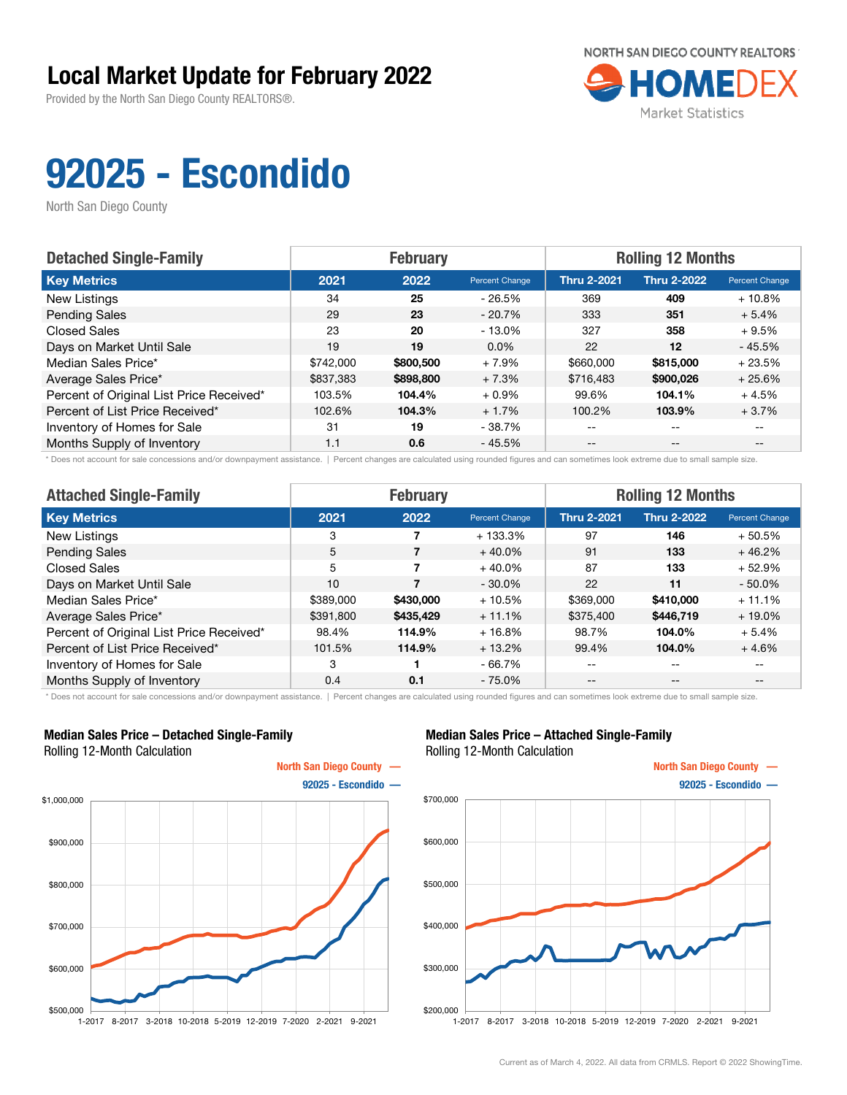Provided by the North San Diego County REALTORS®.



# 92025 - Escondido

North San Diego County

| <b>Detached Single-Family</b>            | <b>February</b> |           |                | <b>Rolling 12 Months</b> |                    |                |  |
|------------------------------------------|-----------------|-----------|----------------|--------------------------|--------------------|----------------|--|
| <b>Key Metrics</b>                       | 2021            | 2022      | Percent Change | <b>Thru 2-2021</b>       | <b>Thru 2-2022</b> | Percent Change |  |
| New Listings                             | 34              | 25        | $-26.5%$       | 369                      | 409                | $+10.8%$       |  |
| <b>Pending Sales</b>                     | 29              | 23        | $-20.7%$       | 333                      | 351                | $+5.4%$        |  |
| <b>Closed Sales</b>                      | 23              | 20        | $-13.0\%$      | 327                      | 358                | $+9.5%$        |  |
| Days on Market Until Sale                | 19              | 19        | $0.0\%$        | 22                       | $12 \overline{ }$  | $-45.5%$       |  |
| Median Sales Price*                      | \$742,000       | \$800,500 | $+7.9%$        | \$660,000                | \$815,000          | $+23.5%$       |  |
| Average Sales Price*                     | \$837,383       | \$898,800 | $+7.3%$        | \$716,483                | \$900,026          | $+25.6%$       |  |
| Percent of Original List Price Received* | 103.5%          | 104.4%    | $+0.9\%$       | 99.6%                    | 104.1%             | $+4.5%$        |  |
| Percent of List Price Received*          | 102.6%          | 104.3%    | $+1.7%$        | 100.2%                   | 103.9%             | $+3.7%$        |  |
| Inventory of Homes for Sale              | 31              | 19        | - 38.7%        | $- -$                    | $-$                |                |  |
| Months Supply of Inventory               | 1.1             | 0.6       | - 45.5%        | $- -$                    | $- -$              |                |  |

\* Does not account for sale concessions and/or downpayment assistance. | Percent changes are calculated using rounded figures and can sometimes look extreme due to small sample size.

| <b>Attached Single-Family</b>            |           | <b>February</b> |                | <b>Rolling 12 Months</b> |                    |                          |  |
|------------------------------------------|-----------|-----------------|----------------|--------------------------|--------------------|--------------------------|--|
| <b>Key Metrics</b>                       | 2021      | 2022            | Percent Change | <b>Thru 2-2021</b>       | <b>Thru 2-2022</b> | Percent Change           |  |
| New Listings                             | 3         |                 | $+133.3%$      | 97                       | 146                | $+50.5%$                 |  |
| <b>Pending Sales</b>                     | 5         | 7               | $+40.0%$       | 91                       | 133                | $+46.2%$                 |  |
| <b>Closed Sales</b>                      | 5         |                 | $+40.0%$       | 87                       | 133                | $+52.9%$                 |  |
| Days on Market Until Sale                | 10        |                 | $-30.0\%$      | 22                       | 11                 | $-50.0%$                 |  |
| Median Sales Price*                      | \$389,000 | \$430,000       | $+10.5%$       | \$369,000                | \$410,000          | $+11.1%$                 |  |
| Average Sales Price*                     | \$391,800 | \$435,429       | $+11.1%$       | \$375,400                | \$446,719          | $+19.0\%$                |  |
| Percent of Original List Price Received* | 98.4%     | 114.9%          | $+16.8%$       | 98.7%                    | 104.0%             | $+5.4%$                  |  |
| Percent of List Price Received*          | 101.5%    | 114.9%          | $+13.2%$       | 99.4%                    | 104.0%             | $+4.6%$                  |  |
| Inventory of Homes for Sale              | 3         |                 | $-66.7%$       | --                       | $\qquad \qquad -$  | $\overline{\phantom{m}}$ |  |
| Months Supply of Inventory               | 0.4       | 0.1             | $-75.0%$       | $- -$                    | $\qquad \qquad -$  | $- -$                    |  |

\* Does not account for sale concessions and/or downpayment assistance. | Percent changes are calculated using rounded figures and can sometimes look extreme due to small sample size.

#### Median Sales Price – Detached Single-Family Rolling 12-Month Calculation



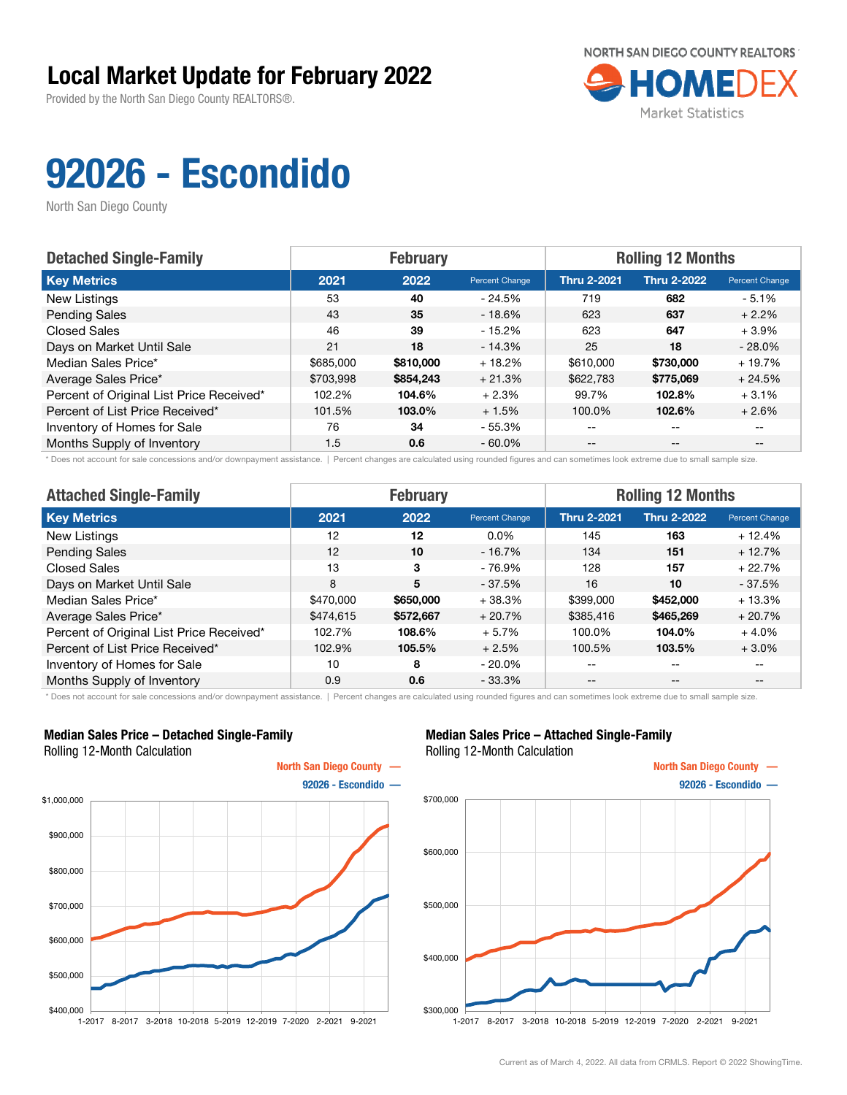Provided by the North San Diego County REALTORS®.



# 92026 - Escondido

North San Diego County

| <b>Detached Single-Family</b>            |           | <b>February</b> |                | <b>Rolling 12 Months</b> |                    |                |  |
|------------------------------------------|-----------|-----------------|----------------|--------------------------|--------------------|----------------|--|
| <b>Key Metrics</b>                       | 2021      | 2022            | Percent Change | <b>Thru 2-2021</b>       | <b>Thru 2-2022</b> | Percent Change |  |
| New Listings                             | 53        | 40              | $-24.5%$       | 719                      | 682                | $-5.1%$        |  |
| <b>Pending Sales</b>                     | 43        | 35              | $-18.6%$       | 623                      | 637                | $+2.2%$        |  |
| <b>Closed Sales</b>                      | 46        | 39              | $-15.2\%$      | 623                      | 647                | $+3.9%$        |  |
| Days on Market Until Sale                | 21        | 18              | $-14.3%$       | 25                       | 18                 | $-28.0%$       |  |
| Median Sales Price*                      | \$685,000 | \$810,000       | $+18.2%$       | \$610,000                | \$730,000          | $+19.7%$       |  |
| Average Sales Price*                     | \$703.998 | \$854,243       | $+21.3%$       | \$622,783                | \$775,069          | $+24.5%$       |  |
| Percent of Original List Price Received* | 102.2%    | 104.6%          | $+2.3%$        | 99.7%                    | 102.8%             | $+3.1%$        |  |
| Percent of List Price Received*          | 101.5%    | 103.0%          | $+1.5%$        | 100.0%                   | 102.6%             | $+2.6%$        |  |
| Inventory of Homes for Sale              | 76        | 34              | - 55.3%        | $- -$                    | $-$                |                |  |
| Months Supply of Inventory               | 1.5       | 0.6             | $-60.0\%$      | $- -$                    | $- -$              |                |  |

\* Does not account for sale concessions and/or downpayment assistance. | Percent changes are calculated using rounded figures and can sometimes look extreme due to small sample size.

| <b>Attached Single-Family</b>            |           | <b>February</b> |                | <b>Rolling 12 Months</b> |                    |                |  |
|------------------------------------------|-----------|-----------------|----------------|--------------------------|--------------------|----------------|--|
| <b>Key Metrics</b>                       | 2021      | 2022            | Percent Change | <b>Thru 2-2021</b>       | <b>Thru 2-2022</b> | Percent Change |  |
| New Listings                             | 12        | 12              | $0.0\%$        | 145                      | 163                | $+12.4%$       |  |
| <b>Pending Sales</b>                     | 12        | 10              | $-16.7%$       | 134                      | 151                | $+12.7%$       |  |
| <b>Closed Sales</b>                      | 13        | 3               | $-76.9%$       | 128                      | 157                | $+22.7%$       |  |
| Days on Market Until Sale                | 8         | 5               | $-37.5%$       | 16                       | 10                 | $-37.5%$       |  |
| Median Sales Price*                      | \$470,000 | \$650,000       | $+38.3%$       | \$399,000                | \$452,000          | $+13.3%$       |  |
| Average Sales Price*                     | \$474,615 | \$572,667       | $+20.7%$       | \$385,416                | \$465,269          | $+20.7%$       |  |
| Percent of Original List Price Received* | 102.7%    | 108.6%          | $+5.7%$        | 100.0%                   | 104.0%             | $+4.0%$        |  |
| Percent of List Price Received*          | 102.9%    | 105.5%          | $+2.5%$        | 100.5%                   | 103.5%             | $+3.0%$        |  |
| Inventory of Homes for Sale              | 10        | 8               | $-20.0\%$      | --                       | --                 | --             |  |
| Months Supply of Inventory               | 0.9       | 0.6             | $-33.3%$       | --                       | $- -$              | $- -$          |  |

\* Does not account for sale concessions and/or downpayment assistance. | Percent changes are calculated using rounded figures and can sometimes look extreme due to small sample size.

#### Median Sales Price – Detached Single-Family Rolling 12-Month Calculation



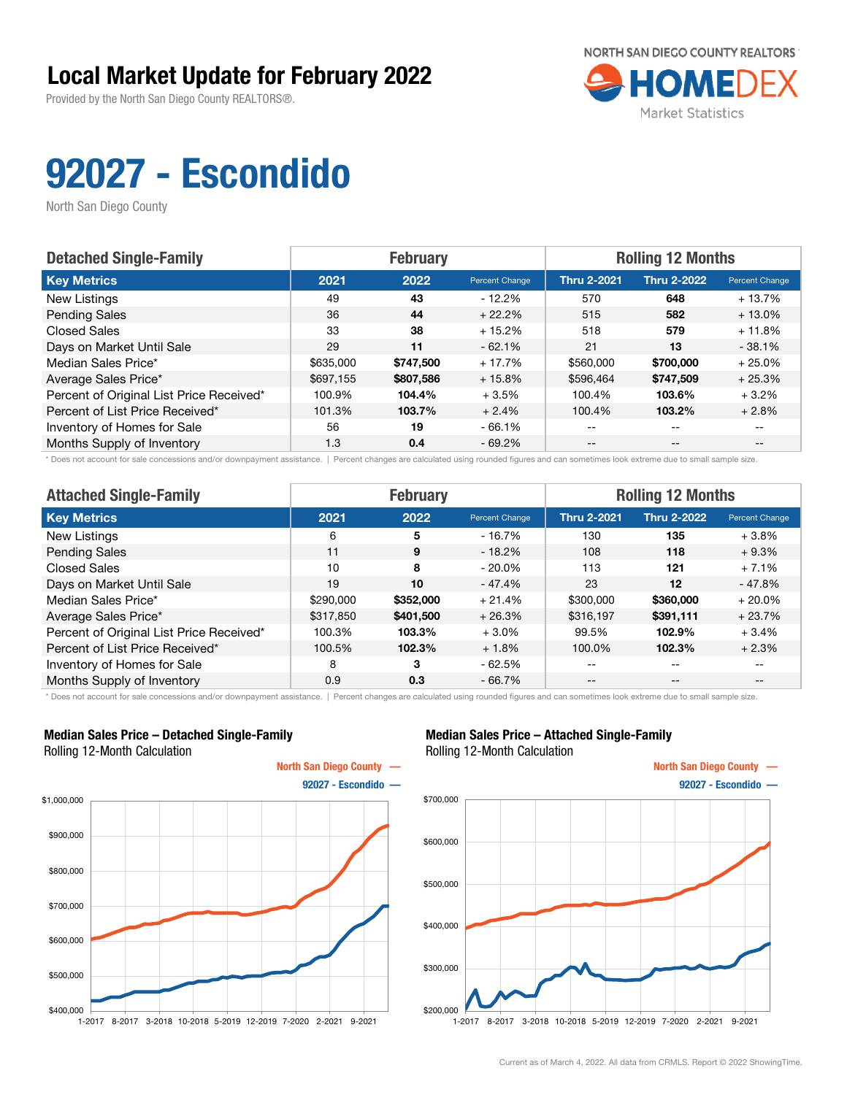Provided by the North San Diego County REALTORS®.



# 92027 - Escondido

North San Diego County

| <b>Detached Single-Family</b>            |           | <b>February</b> |                | <b>Rolling 12 Months</b> |                    |                       |
|------------------------------------------|-----------|-----------------|----------------|--------------------------|--------------------|-----------------------|
| <b>Key Metrics</b>                       | 2021      | 2022            | Percent Change | <b>Thru 2-2021</b>       | <b>Thru 2-2022</b> | <b>Percent Change</b> |
| New Listings                             | 49        | 43              | $-12.2\%$      | 570                      | 648                | $+13.7%$              |
| <b>Pending Sales</b>                     | 36        | 44              | $+22.2%$       | 515                      | 582                | $+13.0%$              |
| <b>Closed Sales</b>                      | 33        | 38              | $+15.2%$       | 518                      | 579                | $+11.8%$              |
| Days on Market Until Sale                | 29        | 11              | $-62.1%$       | 21                       | 13                 | $-38.1%$              |
| Median Sales Price*                      | \$635,000 | \$747,500       | $+17.7%$       | \$560,000                | \$700,000          | $+25.0%$              |
| Average Sales Price*                     | \$697.155 | \$807,586       | $+15.8%$       | \$596,464                | \$747.509          | $+25.3%$              |
| Percent of Original List Price Received* | 100.9%    | 104.4%          | $+3.5%$        | 100.4%                   | 103.6%             | $+3.2%$               |
| Percent of List Price Received*          | 101.3%    | 103.7%          | $+2.4%$        | 100.4%                   | 103.2%             | $+2.8%$               |
| Inventory of Homes for Sale              | 56        | 19              | $-66.1%$       | --                       | $\qquad \qquad -$  |                       |
| Months Supply of Inventory               | 1.3       | 0.4             | $-69.2%$       | $- -$                    | $\qquad \qquad -$  |                       |

\* Does not account for sale concessions and/or downpayment assistance. | Percent changes are calculated using rounded figures and can sometimes look extreme due to small sample size.

| <b>Attached Single-Family</b>            |           | <b>February</b> |                | <b>Rolling 12 Months</b> |                    |                |  |
|------------------------------------------|-----------|-----------------|----------------|--------------------------|--------------------|----------------|--|
| <b>Key Metrics</b>                       | 2021      | 2022            | Percent Change | <b>Thru 2-2021</b>       | <b>Thru 2-2022</b> | Percent Change |  |
| New Listings                             | 6         | 5               | $-16.7%$       | 130                      | 135                | $+3.8%$        |  |
| <b>Pending Sales</b>                     | 11        | 9               | $-18.2%$       | 108                      | 118                | $+9.3%$        |  |
| <b>Closed Sales</b>                      | 10        | 8               | $-20.0\%$      | 113                      | 121                | $+7.1%$        |  |
| Days on Market Until Sale                | 19        | 10              | $-47.4%$       | 23                       | 12                 | $-47.8%$       |  |
| Median Sales Price*                      | \$290,000 | \$352,000       | $+21.4%$       | \$300,000                | \$360,000          | $+20.0\%$      |  |
| Average Sales Price*                     | \$317,850 | \$401,500       | $+26.3%$       | \$316,197                | \$391,111          | $+23.7%$       |  |
| Percent of Original List Price Received* | 100.3%    | 103.3%          | $+3.0%$        | 99.5%                    | 102.9%             | $+3.4%$        |  |
| Percent of List Price Received*          | 100.5%    | 102.3%          | $+1.8%$        | 100.0%                   | 102.3%             | $+2.3%$        |  |
| Inventory of Homes for Sale              | 8         | 3               | $-62.5%$       | --                       | --                 | $- -$          |  |
| Months Supply of Inventory               | 0.9       | 0.3             | $-66.7%$       | --                       | $- -$              | $- -$          |  |

\* Does not account for sale concessions and/or downpayment assistance. | Percent changes are calculated using rounded figures and can sometimes look extreme due to small sample size.

#### Median Sales Price – Detached Single-Family Rolling 12-Month Calculation



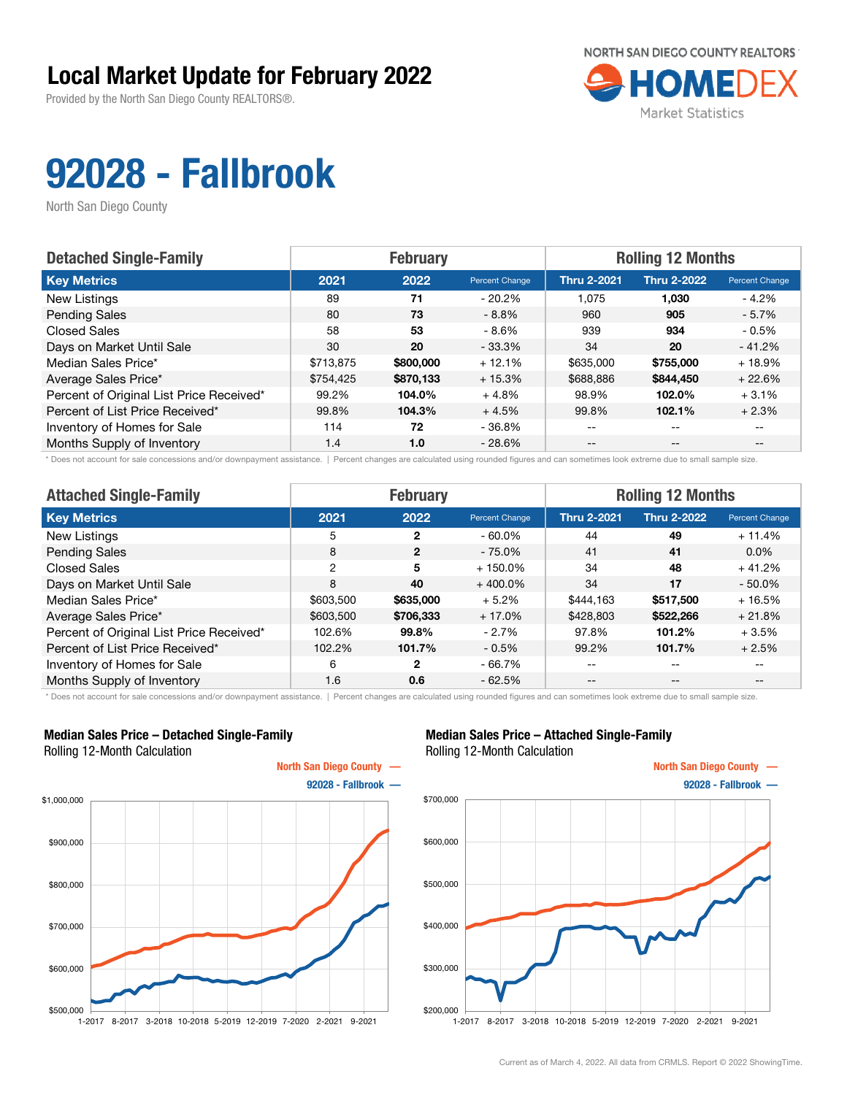Provided by the North San Diego County REALTORS®.



# 92028 - Fallbrook

North San Diego County

| <b>Detached Single-Family</b>            |           | <b>February</b> |                | <b>Rolling 12 Months</b> |                    |                       |  |
|------------------------------------------|-----------|-----------------|----------------|--------------------------|--------------------|-----------------------|--|
| <b>Key Metrics</b>                       | 2021      | 2022            | Percent Change | <b>Thru 2-2021</b>       | <b>Thru 2-2022</b> | <b>Percent Change</b> |  |
| New Listings                             | 89        | 71              | $-20.2%$       | 1.075                    | 1,030              | - 4.2%                |  |
| <b>Pending Sales</b>                     | 80        | 73              | $-8.8%$        | 960                      | 905                | $-5.7\%$              |  |
| <b>Closed Sales</b>                      | 58        | 53              | $-8.6%$        | 939                      | 934                | $-0.5%$               |  |
| Days on Market Until Sale                | 30        | 20              | $-33.3%$       | 34                       | 20                 | $-41.2%$              |  |
| Median Sales Price*                      | \$713,875 | \$800,000       | $+12.1%$       | \$635,000                | \$755,000          | $+18.9%$              |  |
| Average Sales Price*                     | \$754.425 | \$870,133       | $+15.3%$       | \$688,886                | \$844,450          | $+22.6%$              |  |
| Percent of Original List Price Received* | 99.2%     | 104.0%          | $+4.8%$        | 98.9%                    | 102.0%             | $+3.1%$               |  |
| Percent of List Price Received*          | 99.8%     | 104.3%          | $+4.5%$        | 99.8%                    | 102.1%             | $+2.3%$               |  |
| Inventory of Homes for Sale              | 114       | 72              | $-36.8%$       | --                       | $-$                |                       |  |
| Months Supply of Inventory               | 1.4       | 1.0             | $-28.6%$       | $- -$                    | $- -$              | $- -$                 |  |

\* Does not account for sale concessions and/or downpayment assistance. | Percent changes are calculated using rounded figures and can sometimes look extreme due to small sample size.

| <b>Attached Single-Family</b>            |           | <b>February</b> |                | <b>Rolling 12 Months</b> |                    |                          |  |
|------------------------------------------|-----------|-----------------|----------------|--------------------------|--------------------|--------------------------|--|
| <b>Key Metrics</b>                       | 2021      | 2022            | Percent Change | <b>Thru 2-2021</b>       | <b>Thru 2-2022</b> | Percent Change           |  |
| New Listings                             | 5         | $\mathbf{2}$    | $-60.0\%$      | 44                       | 49                 | $+11.4%$                 |  |
| <b>Pending Sales</b>                     | 8         | $\overline{2}$  | $-75.0\%$      | 41                       | 41                 | $0.0\%$                  |  |
| <b>Closed Sales</b>                      | 2         | 5               | $+150.0\%$     | 34                       | 48                 | $+41.2%$                 |  |
| Days on Market Until Sale                | 8         | 40              | $+400.0\%$     | 34                       | 17                 | $-50.0%$                 |  |
| Median Sales Price*                      | \$603,500 | \$635,000       | $+5.2%$        | \$444.163                | \$517,500          | $+16.5%$                 |  |
| Average Sales Price*                     | \$603,500 | \$706,333       | $+17.0%$       | \$428,803                | \$522,266          | $+21.8%$                 |  |
| Percent of Original List Price Received* | 102.6%    | 99.8%           | $-2.7\%$       | 97.8%                    | 101.2%             | $+3.5%$                  |  |
| Percent of List Price Received*          | 102.2%    | 101.7%          | $-0.5\%$       | 99.2%                    | 101.7%             | $+2.5%$                  |  |
| Inventory of Homes for Sale              | 6         | 2               | $-66.7%$       | --                       | $\qquad \qquad -$  | $\overline{\phantom{m}}$ |  |
| Months Supply of Inventory               | 1.6       | 0.6             | $-62.5%$       | $- -$                    | $\qquad \qquad -$  | $- -$                    |  |

\* Does not account for sale concessions and/or downpayment assistance. | Percent changes are calculated using rounded figures and can sometimes look extreme due to small sample size.

#### Median Sales Price – Detached Single-Family Rolling 12-Month Calculation



#### Median Sales Price – Attached Single-Family Rolling 12-Month Calculation



1-2017 8-2017 3-2018 10-2018 5-2019 12-2019 7-2020 2-2021 9-2021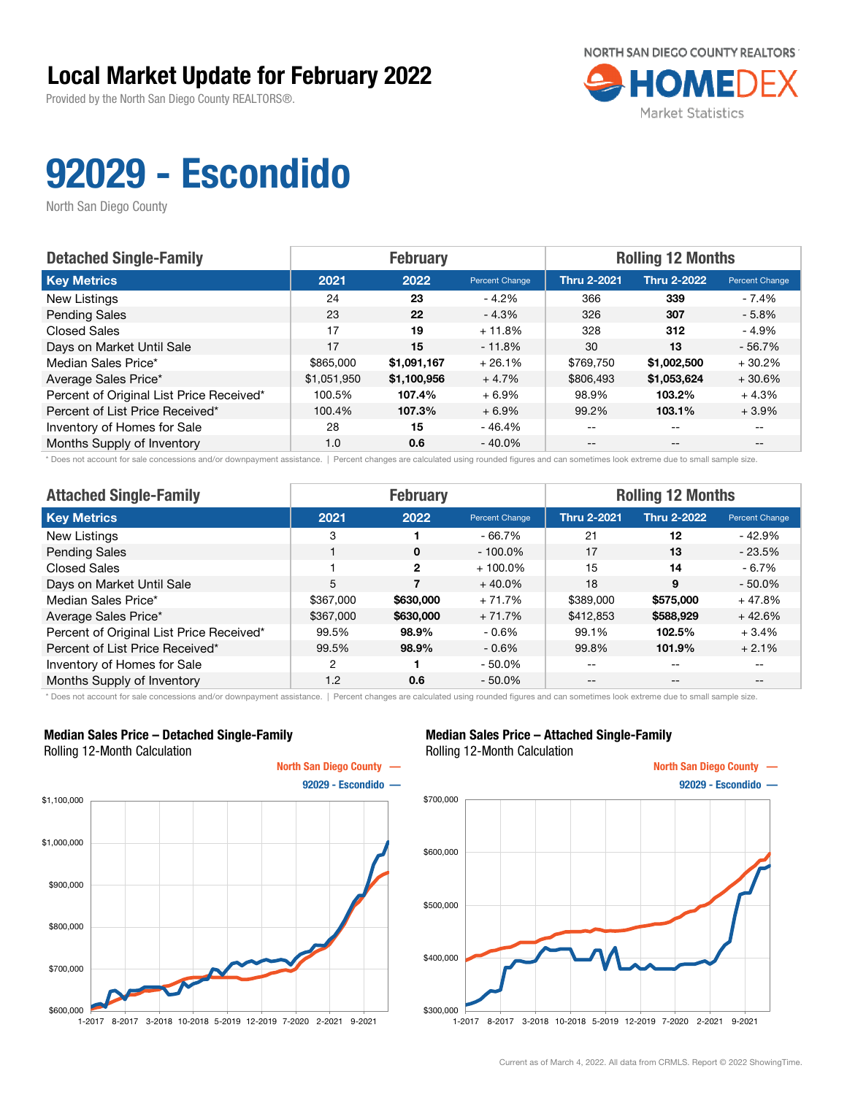Provided by the North San Diego County REALTORS®.



# 92029 - Escondido

North San Diego County

| <b>Detached Single-Family</b>            |             | <b>February</b> |                | <b>Rolling 12 Months</b> |                    |                |  |
|------------------------------------------|-------------|-----------------|----------------|--------------------------|--------------------|----------------|--|
| <b>Key Metrics</b>                       | 2021        | 2022            | Percent Change | <b>Thru 2-2021</b>       | <b>Thru 2-2022</b> | Percent Change |  |
| New Listings                             | 24          | 23              | $-4.2%$        | 366                      | 339                | - 7.4%         |  |
| <b>Pending Sales</b>                     | 23          | 22              | $-4.3%$        | 326                      | 307                | $-5.8\%$       |  |
| <b>Closed Sales</b>                      | 17          | 19              | $+11.8%$       | 328                      | 312                | - 4.9%         |  |
| Days on Market Until Sale                | 17          | 15              | $-11.8%$       | 30                       | 13                 | $-56.7%$       |  |
| Median Sales Price*                      | \$865,000   | \$1,091,167     | $+26.1%$       | \$769,750                | \$1,002,500        | $+30.2%$       |  |
| Average Sales Price*                     | \$1,051,950 | \$1,100,956     | $+4.7%$        | \$806,493                | \$1,053,624        | $+30.6%$       |  |
| Percent of Original List Price Received* | 100.5%      | 107.4%          | $+6.9\%$       | 98.9%                    | 103.2%             | $+4.3%$        |  |
| Percent of List Price Received*          | 100.4%      | 107.3%          | $+6.9%$        | 99.2%                    | 103.1%             | $+3.9%$        |  |
| Inventory of Homes for Sale              | 28          | 15              | - 46.4%        | $- -$                    | $-$                |                |  |
| Months Supply of Inventory               | 1.0         | 0.6             | $-40.0\%$      | $- -$                    | $- -$              |                |  |

\* Does not account for sale concessions and/or downpayment assistance. | Percent changes are calculated using rounded figures and can sometimes look extreme due to small sample size.

| <b>Attached Single-Family</b>            |           | <b>February</b> |                | <b>Rolling 12 Months</b> |                    |                |  |
|------------------------------------------|-----------|-----------------|----------------|--------------------------|--------------------|----------------|--|
| <b>Key Metrics</b>                       | 2021      | 2022            | Percent Change | <b>Thru 2-2021</b>       | <b>Thru 2-2022</b> | Percent Change |  |
| New Listings                             | 3         |                 | $-66.7%$       | 21                       | 12                 | $-42.9%$       |  |
| <b>Pending Sales</b>                     |           | $\mathbf{0}$    | $-100.0\%$     | 17                       | 13                 | $-23.5%$       |  |
| <b>Closed Sales</b>                      |           | $\overline{2}$  | $+100.0\%$     | 15                       | 14                 | $-6.7\%$       |  |
| Days on Market Until Sale                | 5         |                 | $+40.0%$       | 18                       | 9                  | $-50.0%$       |  |
| Median Sales Price*                      | \$367,000 | \$630,000       | $+71.7%$       | \$389,000                | \$575,000          | $+47.8%$       |  |
| Average Sales Price*                     | \$367,000 | \$630,000       | $+71.7%$       | \$412,853                | \$588,929          | $+42.6%$       |  |
| Percent of Original List Price Received* | 99.5%     | 98.9%           | $-0.6\%$       | 99.1%                    | 102.5%             | $+3.4%$        |  |
| Percent of List Price Received*          | 99.5%     | 98.9%           | $-0.6\%$       | 99.8%                    | 101.9%             | $+2.1%$        |  |
| Inventory of Homes for Sale              | 2         |                 | $-50.0%$       | --                       | $\qquad \qquad -$  | $- -$          |  |
| Months Supply of Inventory               | 1.2       | 0.6             | $-50.0\%$      | $- -$                    | $\qquad \qquad -$  | $- -$          |  |

\* Does not account for sale concessions and/or downpayment assistance. | Percent changes are calculated using rounded figures and can sometimes look extreme due to small sample size.

#### Median Sales Price – Detached Single-Family Rolling 12-Month Calculation



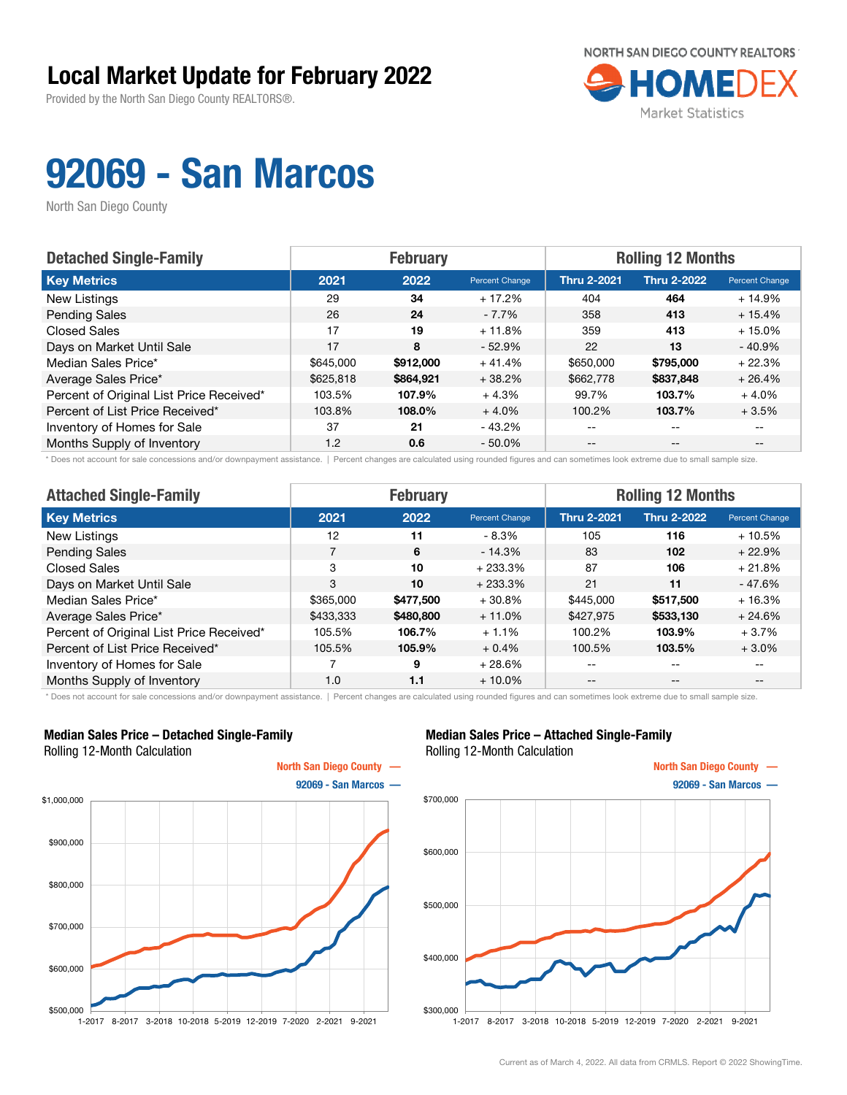Provided by the North San Diego County REALTORS®.



## 92069 - San Marcos

North San Diego County

| <b>Detached Single-Family</b>            |           | <b>February</b> |                | <b>Rolling 12 Months</b> |                    |                                       |
|------------------------------------------|-----------|-----------------|----------------|--------------------------|--------------------|---------------------------------------|
| <b>Key Metrics</b>                       | 2021      | 2022            | Percent Change | <b>Thru 2-2021</b>       | <b>Thru 2-2022</b> | <b>Percent Change</b>                 |
| New Listings                             | 29        | 34              | $+17.2%$       | 404                      | 464                | $+14.9%$                              |
| <b>Pending Sales</b>                     | 26        | 24              | $-7.7\%$       | 358                      | 413                | $+15.4%$                              |
| <b>Closed Sales</b>                      | 17        | 19              | $+11.8%$       | 359                      | 413                | $+15.0%$                              |
| Days on Market Until Sale                | 17        | 8               | $-52.9%$       | 22                       | 13                 | $-40.9%$                              |
| Median Sales Price*                      | \$645,000 | \$912,000       | $+41.4%$       | \$650,000                | \$795,000          | $+22.3%$                              |
| Average Sales Price*                     | \$625,818 | \$864.921       | $+38.2%$       | \$662,778                | \$837,848          | $+26.4%$                              |
| Percent of Original List Price Received* | 103.5%    | 107.9%          | $+4.3%$        | 99.7%                    | 103.7%             | $+4.0%$                               |
| Percent of List Price Received*          | 103.8%    | 108.0%          | $+4.0%$        | 100.2%                   | 103.7%             | $+3.5%$                               |
| Inventory of Homes for Sale              | 37        | 21              | $-43.2\%$      | --                       | $- -$              |                                       |
| Months Supply of Inventory               | 1.2       | 0.6             | $-50.0\%$      | $- -$                    | $\qquad \qquad -$  | $\hspace{0.05cm}$ – $\hspace{0.05cm}$ |

\* Does not account for sale concessions and/or downpayment assistance. | Percent changes are calculated using rounded figures and can sometimes look extreme due to small sample size.

| <b>Attached Single-Family</b>            |           | <b>February</b> |                | <b>Rolling 12 Months</b> |                    |                |  |
|------------------------------------------|-----------|-----------------|----------------|--------------------------|--------------------|----------------|--|
| <b>Key Metrics</b>                       | 2021      | 2022            | Percent Change | <b>Thru 2-2021</b>       | <b>Thru 2-2022</b> | Percent Change |  |
| New Listings                             | 12        | 11              | - 8.3%         | 105                      | 116                | $+10.5%$       |  |
| <b>Pending Sales</b>                     |           | 6               | $-14.3%$       | 83                       | 102                | $+22.9%$       |  |
| <b>Closed Sales</b>                      | 3         | 10              | $+233.3%$      | 87                       | 106                | $+21.8%$       |  |
| Days on Market Until Sale                | 3         | 10              | $+233.3%$      | 21                       | 11                 | $-47.6%$       |  |
| Median Sales Price*                      | \$365,000 | \$477,500       | $+30.8%$       | \$445,000                | \$517,500          | $+16.3%$       |  |
| Average Sales Price*                     | \$433,333 | \$480,800       | $+11.0%$       | \$427,975                | \$533,130          | $+24.6%$       |  |
| Percent of Original List Price Received* | 105.5%    | 106.7%          | $+1.1%$        | 100.2%                   | 103.9%             | $+3.7%$        |  |
| Percent of List Price Received*          | 105.5%    | 105.9%          | $+0.4%$        | 100.5%                   | 103.5%             | $+3.0%$        |  |
| Inventory of Homes for Sale              |           | 9               | $+28.6%$       | --                       | --                 | $- -$          |  |
| Months Supply of Inventory               | 1.0       | 1.1             | $+10.0\%$      | --                       | $- -$              | $- -$          |  |

\* Does not account for sale concessions and/or downpayment assistance. | Percent changes are calculated using rounded figures and can sometimes look extreme due to small sample size.

#### Median Sales Price – Detached Single-Family Rolling 12-Month Calculation



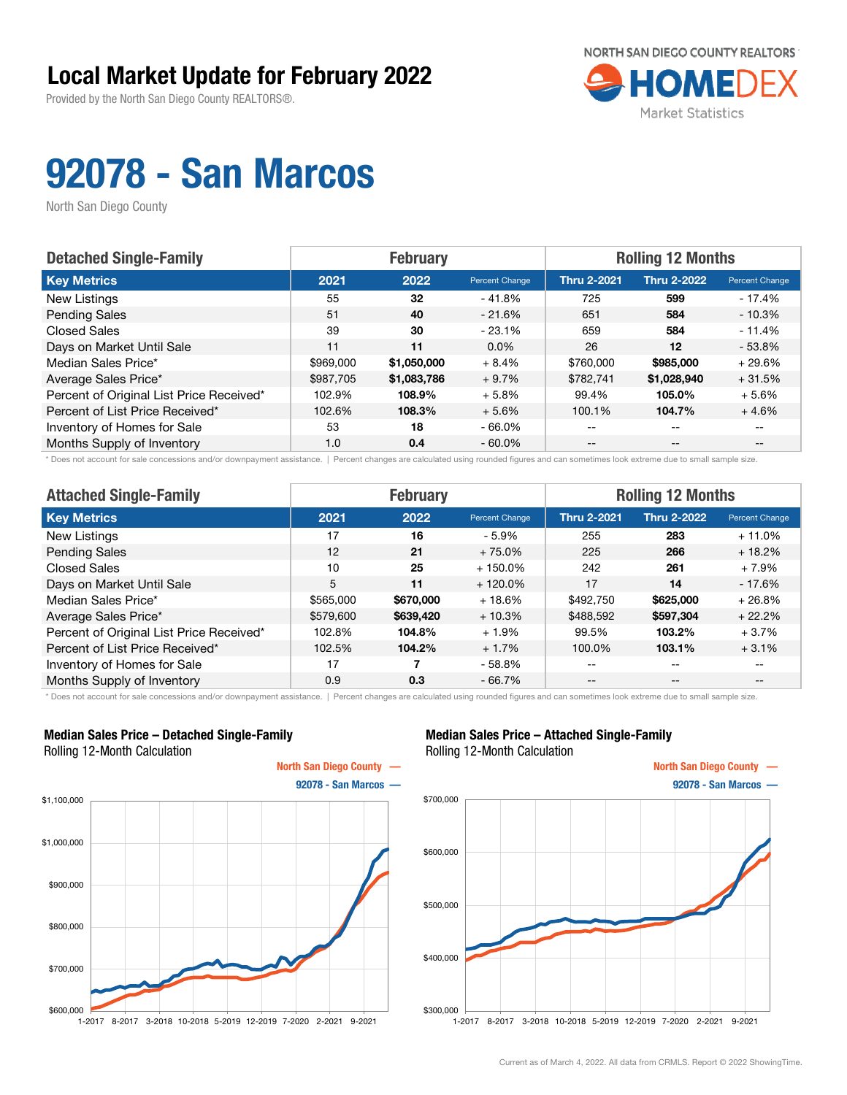Provided by the North San Diego County REALTORS®.



## 92078 - San Marcos

North San Diego County

| <b>Detached Single-Family</b>            |           | <b>February</b> |                | <b>Rolling 12 Months</b> |                    |                       |  |
|------------------------------------------|-----------|-----------------|----------------|--------------------------|--------------------|-----------------------|--|
| <b>Key Metrics</b>                       | 2021      | 2022            | Percent Change | <b>Thru 2-2021</b>       | <b>Thru 2-2022</b> | <b>Percent Change</b> |  |
| New Listings                             | 55        | 32              | $-41.8%$       | 725                      | 599                | $-17.4%$              |  |
| <b>Pending Sales</b>                     | 51        | 40              | $-21.6%$       | 651                      | 584                | $-10.3%$              |  |
| <b>Closed Sales</b>                      | 39        | 30              | $-23.1%$       | 659                      | 584                | $-11.4%$              |  |
| Days on Market Until Sale                | 11        | 11              | $0.0\%$        | 26                       | 12                 | $-53.8%$              |  |
| Median Sales Price*                      | \$969,000 | \$1,050,000     | $+8.4%$        | \$760,000                | \$985,000          | $+29.6%$              |  |
| Average Sales Price*                     | \$987,705 | \$1,083,786     | $+9.7%$        | \$782,741                | \$1,028,940        | $+31.5%$              |  |
| Percent of Original List Price Received* | 102.9%    | 108.9%          | $+5.8%$        | 99.4%                    | 105.0%             | $+5.6%$               |  |
| Percent of List Price Received*          | 102.6%    | 108.3%          | $+5.6%$        | 100.1%                   | 104.7%             | $+4.6%$               |  |
| Inventory of Homes for Sale              | 53        | 18              | $-66.0\%$      | --                       | --                 |                       |  |
| Months Supply of Inventory               | 1.0       | 0.4             | $-60.0\%$      | $- -$                    | $- -$              | $- -$                 |  |

\* Does not account for sale concessions and/or downpayment assistance. | Percent changes are calculated using rounded figures and can sometimes look extreme due to small sample size.

| <b>Attached Single-Family</b>            |           | <b>February</b> |                | <b>Rolling 12 Months</b> |                    |                                       |  |
|------------------------------------------|-----------|-----------------|----------------|--------------------------|--------------------|---------------------------------------|--|
| <b>Key Metrics</b>                       | 2021      | 2022            | Percent Change | <b>Thru 2-2021</b>       | <b>Thru 2-2022</b> | Percent Change                        |  |
| New Listings                             | 17        | 16              | $-5.9\%$       | 255                      | 283                | $+11.0%$                              |  |
| <b>Pending Sales</b>                     | 12        | 21              | $+75.0%$       | 225                      | 266                | $+18.2%$                              |  |
| <b>Closed Sales</b>                      | 10        | 25              | $+150.0\%$     | 242                      | 261                | + 7.9%                                |  |
| Days on Market Until Sale                | 5         | 11              | $+120.0\%$     | 17                       | 14                 | $-17.6%$                              |  |
| Median Sales Price*                      | \$565,000 | \$670,000       | $+18.6%$       | \$492,750                | \$625,000          | $+26.8%$                              |  |
| Average Sales Price*                     | \$579,600 | \$639,420       | $+10.3%$       | \$488,592                | \$597,304          | $+22.2%$                              |  |
| Percent of Original List Price Received* | 102.8%    | 104.8%          | $+1.9%$        | 99.5%                    | 103.2%             | $+3.7%$                               |  |
| Percent of List Price Received*          | 102.5%    | 104.2%          | $+1.7%$        | 100.0%                   | 103.1%             | $+3.1%$                               |  |
| Inventory of Homes for Sale              | 17        |                 | $-58.8%$       | --                       | $- -$              | --                                    |  |
| Months Supply of Inventory               | 0.9       | 0.3             | $-66.7%$       | $- -$                    | $\qquad \qquad -$  | $\hspace{0.05cm}$ – $\hspace{0.05cm}$ |  |

\* Does not account for sale concessions and/or downpayment assistance. | Percent changes are calculated using rounded figures and can sometimes look extreme due to small sample size.

#### Median Sales Price – Detached Single-Family Rolling 12-Month Calculation



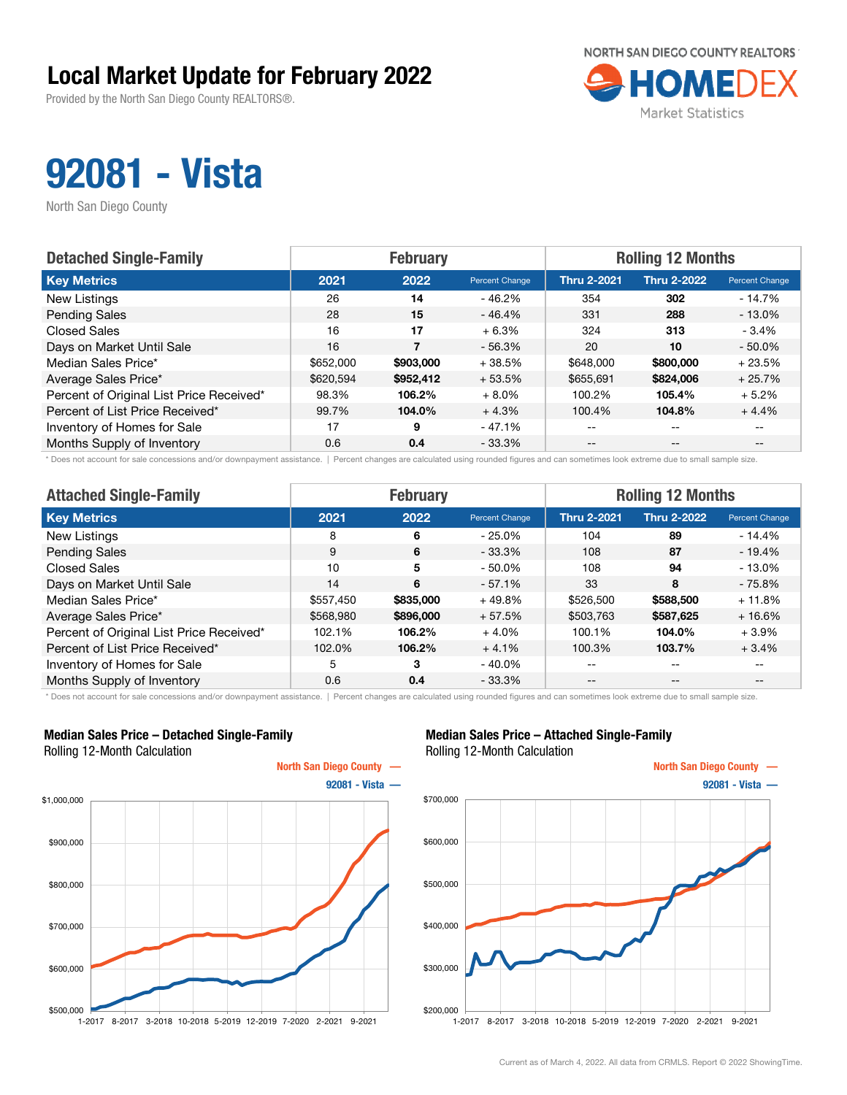Provided by the North San Diego County REALTORS®.



## 92081 - Vista

North San Diego County

| <b>Detached Single-Family</b>            |           | <b>February</b> |                | <b>Rolling 12 Months</b> |                    |                |  |
|------------------------------------------|-----------|-----------------|----------------|--------------------------|--------------------|----------------|--|
| <b>Key Metrics</b>                       | 2021      | 2022            | Percent Change | <b>Thru 2-2021</b>       | <b>Thru 2-2022</b> | Percent Change |  |
| New Listings                             | 26        | 14              | - 46.2%        | 354                      | 302                | $-14.7%$       |  |
| <b>Pending Sales</b>                     | 28        | 15              | $-46.4%$       | 331                      | 288                | $-13.0\%$      |  |
| <b>Closed Sales</b>                      | 16        | 17              | $+6.3%$        | 324                      | 313                | $-3.4%$        |  |
| Days on Market Until Sale                | 16        |                 | $-56.3%$       | 20                       | 10                 | $-50.0%$       |  |
| Median Sales Price*                      | \$652,000 | \$903,000       | $+38.5%$       | \$648,000                | \$800,000          | $+23.5%$       |  |
| Average Sales Price*                     | \$620.594 | \$952,412       | $+53.5%$       | \$655,691                | \$824,006          | $+25.7%$       |  |
| Percent of Original List Price Received* | 98.3%     | 106.2%          | $+8.0\%$       | 100.2%                   | 105.4%             | $+5.2%$        |  |
| Percent of List Price Received*          | 99.7%     | 104.0%          | $+4.3%$        | 100.4%                   | 104.8%             | $+4.4%$        |  |
| Inventory of Homes for Sale              | 17        | 9               | $-47.1%$       | $- -$                    | $-$                |                |  |
| Months Supply of Inventory               | 0.6       | 0.4             | $-33.3\%$      | $- -$                    | $- -$              |                |  |

\* Does not account for sale concessions and/or downpayment assistance. | Percent changes are calculated using rounded figures and can sometimes look extreme due to small sample size.

| <b>Attached Single-Family</b>            |           | <b>February</b> |                | <b>Rolling 12 Months</b> |                    |                |  |
|------------------------------------------|-----------|-----------------|----------------|--------------------------|--------------------|----------------|--|
| <b>Key Metrics</b>                       | 2021      | 2022            | Percent Change | <b>Thru 2-2021</b>       | <b>Thru 2-2022</b> | Percent Change |  |
| New Listings                             | 8         | 6               | $-25.0%$       | 104                      | 89                 | - 14.4%        |  |
| <b>Pending Sales</b>                     | 9         | 6               | $-33.3%$       | 108                      | 87                 | $-19.4%$       |  |
| <b>Closed Sales</b>                      | 10        | 5               | $-50.0\%$      | 108                      | 94                 | - 13.0%        |  |
| Days on Market Until Sale                | 14        | 6               | $-57.1%$       | 33                       | 8                  | $-75.8%$       |  |
| Median Sales Price*                      | \$557,450 | \$835,000       | $+49.8%$       | \$526,500                | \$588,500          | $+11.8%$       |  |
| Average Sales Price*                     | \$568,980 | \$896,000       | $+57.5%$       | \$503,763                | \$587,625          | $+16.6%$       |  |
| Percent of Original List Price Received* | 102.1%    | 106.2%          | $+4.0%$        | 100.1%                   | 104.0%             | $+3.9\%$       |  |
| Percent of List Price Received*          | 102.0%    | 106.2%          | $+4.1%$        | 100.3%                   | 103.7%             | $+3.4%$        |  |
| Inventory of Homes for Sale              | 5         | 3               | $-40.0\%$      | --                       | --                 | $- -$          |  |
| Months Supply of Inventory               | 0.6       | 0.4             | $-33.3%$       | --                       | $- -$              | $- -$          |  |

\* Does not account for sale concessions and/or downpayment assistance. | Percent changes are calculated using rounded figures and can sometimes look extreme due to small sample size.

#### Median Sales Price – Detached Single-Family Rolling 12-Month Calculation



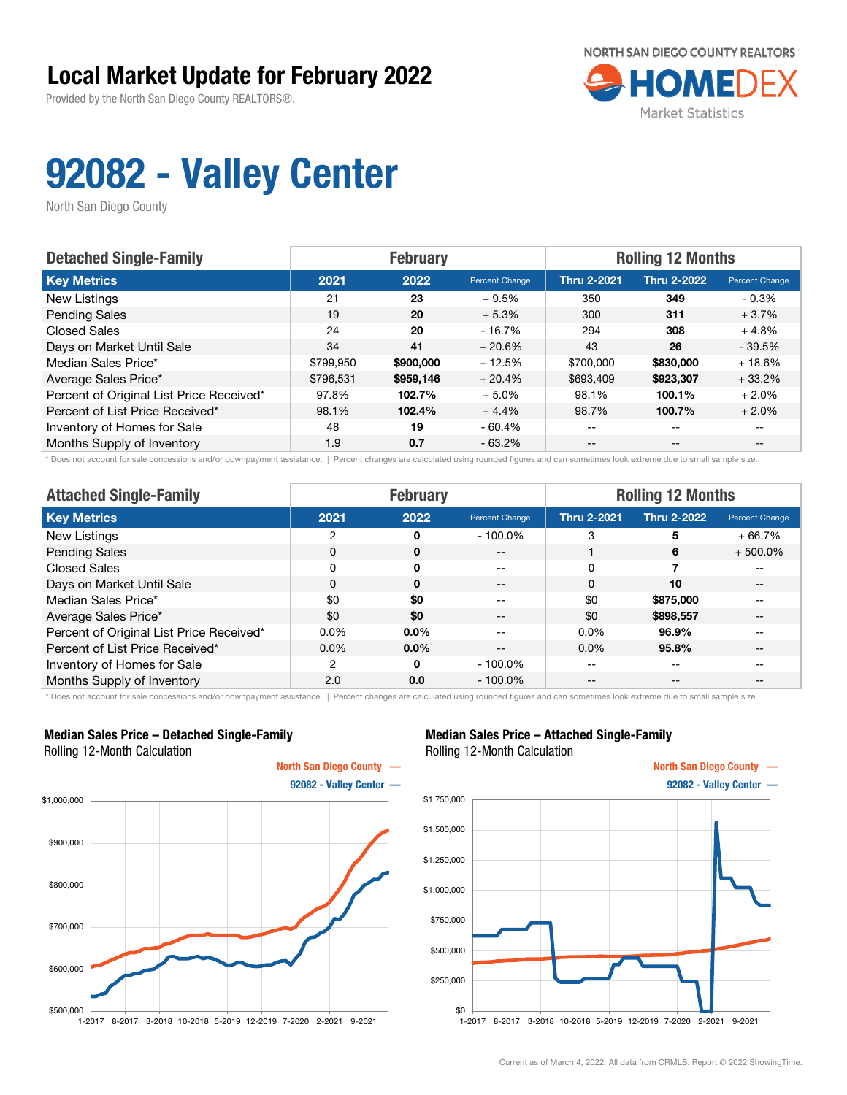Provided by the North San Diego County REALTORS®.



## 92082 - Valley Center

North San Diego County

| <b>Detached Single-Family</b>            | <b>February</b> |           |                       | <b>Rolling 12 Months</b> |                    |                       |
|------------------------------------------|-----------------|-----------|-----------------------|--------------------------|--------------------|-----------------------|
| <b>Key Metrics</b>                       | 2021            | 2022      | <b>Percent Change</b> | <b>Thru 2-2021</b>       | <b>Thru 2-2022</b> | <b>Percent Change</b> |
| New Listings                             | 21              | 23        | $+9.5%$               | 350                      | 349                | $-0.3\%$              |
| <b>Pending Sales</b>                     | 19              | 20        | $+5.3%$               | 300                      | 311                | $+3.7%$               |
| <b>Closed Sales</b>                      | 24              | 20        | $-16.7\%$             | 294                      | 308                | $+4.8%$               |
| Days on Market Until Sale                | 34              | 41        | $+20.6%$              | 43                       | 26                 | $-39.5%$              |
| Median Sales Price*                      | \$799,950       | \$900,000 | $+12.5%$              | \$700,000                | \$830,000          | $+18.6%$              |
| Average Sales Price*                     | \$796.531       | \$959,146 | $+20.4%$              | \$693,409                | \$923,307          | $+33.2%$              |
| Percent of Original List Price Received* | 97.8%           | 102.7%    | $+5.0%$               | 98.1%                    | 100.1%             | $+2.0%$               |
| Percent of List Price Received*          | 98.1%           | 102.4%    | $+4.4%$               | 98.7%                    | 100.7%             | $+2.0%$               |
| Inventory of Homes for Sale              | 48              | 19        | $-60.4%$              | --                       | --                 |                       |
| Months Supply of Inventory               | 1.9             | 0.7       | $-63.2\%$             | $- -$                    | $\qquad \qquad -$  | $- -$                 |

\* Does not account for sale concessions and/or downpayment assistance. | Percent changes are calculated using rounded figures and can sometimes look extreme due to small sample size.

| <b>Attached Single-Family</b>            | <b>February</b> |              |                       | <b>Rolling 12 Months</b> |                    |                          |  |
|------------------------------------------|-----------------|--------------|-----------------------|--------------------------|--------------------|--------------------------|--|
| <b>Key Metrics</b>                       | 2021            | 2022         | <b>Percent Change</b> | <b>Thru 2-2021</b>       | <b>Thru 2-2022</b> | Percent Change           |  |
| New Listings                             | 2               | 0            | $-100.0\%$            | 3                        | 5                  | $+66.7%$                 |  |
| <b>Pending Sales</b>                     | 0               | $\mathbf{0}$ | $- -$                 |                          | 6                  | $+500.0\%$               |  |
| Closed Sales                             | 0               | $\mathbf{0}$ | --                    | 0                        |                    | $- -$                    |  |
| Days on Market Until Sale                | 0               | $\mathbf 0$  | $- -$                 | 0                        | 10                 | $--$                     |  |
| Median Sales Price*                      | \$0             | \$0          | --                    | \$0                      | \$875,000          | $- -$                    |  |
| Average Sales Price*                     | \$0             | \$0          | $- -$                 | \$0                      | \$898,557          | $\overline{\phantom{m}}$ |  |
| Percent of Original List Price Received* | $0.0\%$         | 0.0%         | --                    | $0.0\%$                  | 96.9%              | $- -$                    |  |
| Percent of List Price Received*          | $0.0\%$         | $0.0\%$      | --                    | $0.0\%$                  | 95.8%              | $- -$                    |  |
| Inventory of Homes for Sale              | 2               | 0            | $-100.0\%$            | --                       | --                 | $- -$                    |  |
| Months Supply of Inventory               | 2.0             | 0.0          | $-100.0\%$            | --                       | $ -$               | $- -$                    |  |

\* Does not account for sale concessions and/or downpayment assistance. | Percent changes are calculated using rounded figures and can sometimes look extreme due to small sample size.

#### Median Sales Price – Detached Single-Family Rolling 12-Month Calculation



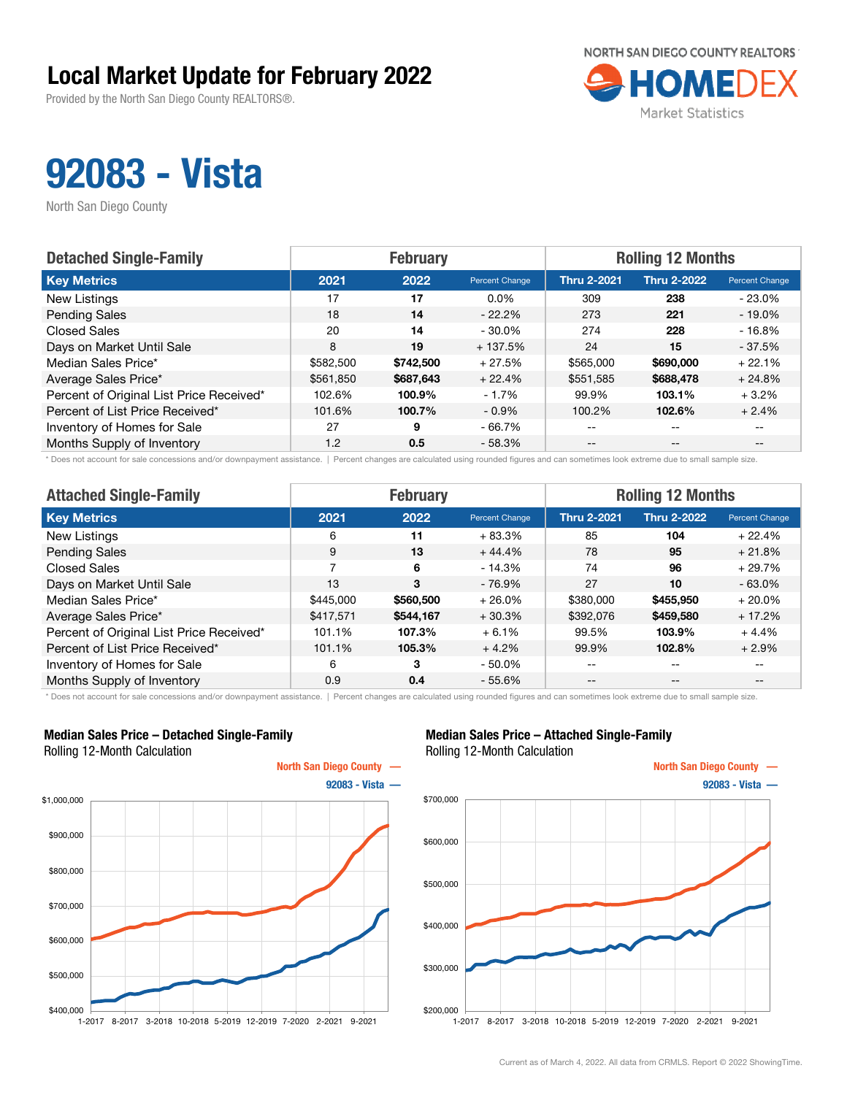Provided by the North San Diego County REALTORS®.



## 92083 - Vista

North San Diego County

| <b>Detached Single-Family</b>            |           | <b>February</b> |                | <b>Rolling 12 Months</b> |                    |                       |  |
|------------------------------------------|-----------|-----------------|----------------|--------------------------|--------------------|-----------------------|--|
| <b>Key Metrics</b>                       | 2021      | 2022            | Percent Change | <b>Thru 2-2021</b>       | <b>Thru 2-2022</b> | <b>Percent Change</b> |  |
| New Listings                             | 17        | 17              | $0.0\%$        | 309                      | 238                | $-23.0%$              |  |
| <b>Pending Sales</b>                     | 18        | 14              | $-22.2\%$      | 273                      | 221                | $-19.0\%$             |  |
| <b>Closed Sales</b>                      | 20        | 14              | $-30.0\%$      | 274                      | 228                | $-16.8%$              |  |
| Days on Market Until Sale                | 8         | 19              | $+137.5%$      | 24                       | 15                 | $-37.5%$              |  |
| Median Sales Price*                      | \$582,500 | \$742,500       | $+27.5%$       | \$565,000                | \$690,000          | $+22.1%$              |  |
| Average Sales Price*                     | \$561,850 | \$687,643       | $+22.4%$       | \$551,585                | \$688,478          | $+24.8%$              |  |
| Percent of Original List Price Received* | 102.6%    | 100.9%          | $-1.7%$        | 99.9%                    | 103.1%             | $+3.2%$               |  |
| Percent of List Price Received*          | 101.6%    | 100.7%          | $-0.9\%$       | 100.2%                   | 102.6%             | $+2.4%$               |  |
| Inventory of Homes for Sale              | 27        | 9               | $-66.7\%$      | $- -$                    | $-$                |                       |  |
| Months Supply of Inventory               | 1.2       | 0.5             | $-58.3%$       | $- -$                    | $- -$              |                       |  |

\* Does not account for sale concessions and/or downpayment assistance. | Percent changes are calculated using rounded figures and can sometimes look extreme due to small sample size.

| <b>Attached Single-Family</b>            |                | <b>February</b> |                | <b>Rolling 12 Months</b> |                    |                                       |  |
|------------------------------------------|----------------|-----------------|----------------|--------------------------|--------------------|---------------------------------------|--|
| <b>Key Metrics</b>                       | 2021           | 2022            | Percent Change | <b>Thru 2-2021</b>       | <b>Thru 2-2022</b> | Percent Change                        |  |
| New Listings                             | 6              | 11              | $+83.3%$       | 85                       | 104                | $+22.4%$                              |  |
| <b>Pending Sales</b>                     | 9              | 13              | $+44.4%$       | 78                       | 95                 | $+21.8%$                              |  |
| <b>Closed Sales</b>                      | $\overline{ }$ | 6               | $-14.3%$       | 74                       | 96                 | $+29.7%$                              |  |
| Days on Market Until Sale                | 13             | 3               | $-76.9%$       | 27                       | 10                 | $-63.0%$                              |  |
| Median Sales Price*                      | \$445,000      | \$560,500       | $+26.0%$       | \$380,000                | \$455,950          | $+20.0\%$                             |  |
| Average Sales Price*                     | \$417,571      | \$544,167       | $+30.3%$       | \$392,076                | \$459,580          | $+17.2%$                              |  |
| Percent of Original List Price Received* | 101.1%         | 107.3%          | $+6.1%$        | 99.5%                    | 103.9%             | $+4.4%$                               |  |
| Percent of List Price Received*          | 101.1%         | 105.3%          | $+4.2%$        | 99.9%                    | 102.8%             | $+2.9%$                               |  |
| Inventory of Homes for Sale              | 6              | 3               | $-50.0\%$      | --                       | $-$                | --                                    |  |
| Months Supply of Inventory               | 0.9            | 0.4             | $-55.6%$       | $- -$                    | $\qquad \qquad -$  | $\hspace{0.05cm}$ – $\hspace{0.05cm}$ |  |

\* Does not account for sale concessions and/or downpayment assistance. | Percent changes are calculated using rounded figures and can sometimes look extreme due to small sample size.

#### Median Sales Price – Detached Single-Family Rolling 12-Month Calculation